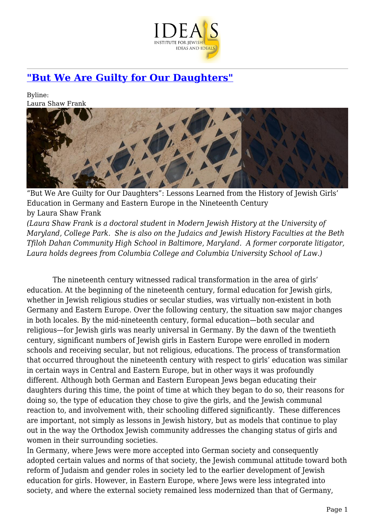

# **["But We Are Guilty for Our Daughters"](https://www.jewishideas.org/article/we-are-guilty-our-daughters-0)**

Byline: Laura Shaw Frank



"But We Are Guilty for Our Daughters": Lessons Learned from the History of Jewish Girls' Education in Germany and Eastern Europe in the Nineteenth Century by Laura Shaw Frank *(Laura Shaw Frank is a doctoral student in Modern Jewish History at the University of*

*Maryland, College Park. She is also on the Judaics and Jewish History Faculties at the Beth Tfiloh Dahan Community High School in Baltimore, Maryland. A former corporate litigator, Laura holds degrees from Columbia College and Columbia University School of Law.)* 

 The nineteenth century witnessed radical transformation in the area of girls' education. At the beginning of the nineteenth century, formal education for Jewish girls, whether in Jewish religious studies or secular studies, was virtually non-existent in both Germany and Eastern Europe. Over the following century, the situation saw major changes in both locales. By the mid-nineteenth century, formal education—both secular and religious—for Jewish girls was nearly universal in Germany. By the dawn of the twentieth century, significant numbers of Jewish girls in Eastern Europe were enrolled in modern schools and receiving secular, but not religious, educations. The process of transformation that occurred throughout the nineteenth century with respect to girls' education was similar in certain ways in Central and Eastern Europe, but in other ways it was profoundly different. Although both German and Eastern European Jews began educating their daughters during this time, the point of time at which they began to do so, their reasons for doing so, the type of education they chose to give the girls, and the Jewish communal reaction to, and involvement with, their schooling differed significantly. These differences are important, not simply as lessons in Jewish history, but as models that continue to play out in the way the Orthodox Jewish community addresses the changing status of girls and women in their surrounding societies.

In Germany, where Jews were more accepted into German society and consequently adopted certain values and norms of that society, the Jewish communal attitude toward both reform of Judaism and gender roles in society led to the earlier development of Jewish education for girls. However, in Eastern Europe, where Jews were less integrated into society, and where the external society remained less modernized than that of Germany,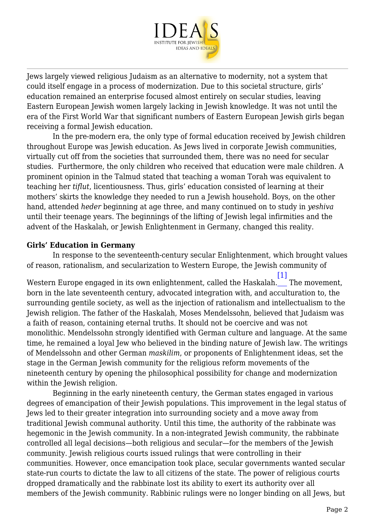

Jews largely viewed religious Judaism as an alternative to modernity, not a system that could itself engage in a process of modernization. Due to this societal structure, girls' education remained an enterprise focused almost entirely on secular studies, leaving Eastern European Jewish women largely lacking in Jewish knowledge. It was not until the era of the First World War that significant numbers of Eastern European Jewish girls began receiving a formal Jewish education.

 In the pre-modern era, the only type of formal education received by Jewish children throughout Europe was Jewish education. As Jews lived in corporate Jewish communities, virtually cut off from the societies that surrounded them, there was no need for secular studies. Furthermore, the only children who received that education were male children. A prominent opinion in the Talmud stated that teaching a woman Torah was equivalent to teaching her *tiflut*, licentiousness. Thus, girls' education consisted of learning at their mothers' skirts the knowledge they needed to run a Jewish household. Boys, on the other hand, attended *heder* beginning at age three, and many continued on to study in *yeshiva* until their teenage years. The beginnings of the lifting of Jewish legal infirmities and the advent of the Haskalah, or Jewish Enlightenment in Germany, changed this reality.

#### **Girls' Education in Germany**

 In response to the seventeenth-century secular Enlightenment, which brought values of reason, rationalism, and secularization to Western Europe, the Jewish community of

<span id="page-1-0"></span>Western Europe engaged in its own enlightenment, called the Haskalah. The movement,  $[1]$ born in the late seventeenth century, advocated integration with, and acculturation to, the surrounding gentile society, as well as the injection of rationalism and intellectualism to the Jewish religion. The father of the Haskalah, Moses Mendelssohn, believed that Judaism was a faith of reason, containing eternal truths. It should not be coercive and was not monolithic. Mendelssohn strongly identified with German culture and language. At the same time, he remained a loyal Jew who believed in the binding nature of Jewish law. The writings of Mendelssohn and other German *maskilim*, or proponents of Enlightenment ideas, set the stage in the German Jewish community for the religious reform movements of the nineteenth century by opening the philosophical possibility for change and modernization within the Jewish religion.

 Beginning in the early nineteenth century, the German states engaged in various degrees of emancipation of their Jewish populations. This improvement in the legal status of Jews led to their greater integration into surrounding society and a move away from traditional Jewish communal authority. Until this time, the authority of the rabbinate was hegemonic in the Jewish community. In a non-integrated Jewish community, the rabbinate controlled all legal decisions—both religious and secular—for the members of the Jewish community. Jewish religious courts issued rulings that were controlling in their communities. However, once emancipation took place, secular governments wanted secular state-run courts to dictate the law to all citizens of the state. The power of religious courts dropped dramatically and the rabbinate lost its ability to exert its authority over all members of the Jewish community. Rabbinic rulings were no longer binding on all Jews, but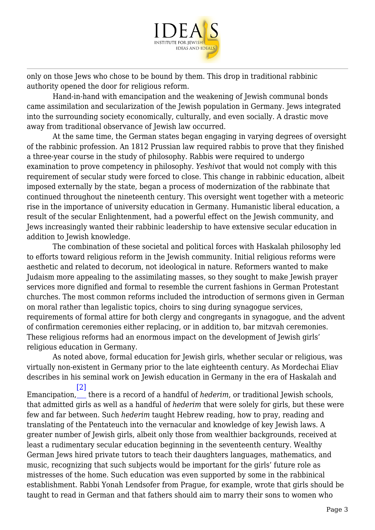

only on those Jews who chose to be bound by them. This drop in traditional rabbinic authority opened the door for religious reform.

 Hand-in-hand with emancipation and the weakening of Jewish communal bonds came assimilation and secularization of the Jewish population in Germany. Jews integrated into the surrounding society economically, culturally, and even socially. A drastic move away from traditional observance of Jewish law occurred.

 At the same time, the German states began engaging in varying degrees of oversight of the rabbinic profession. An 1812 Prussian law required rabbis to prove that they finished a three-year course in the study of philosophy. Rabbis were required to undergo examination to prove competency in philosophy. *Yeshivot* that would not comply with this requirement of secular study were forced to close. This change in rabbinic education, albeit imposed externally by the state, began a process of modernization of the rabbinate that continued throughout the nineteenth century. This oversight went together with a meteoric rise in the importance of university education in Germany. Humanistic liberal education, a result of the secular Enlightenment, had a powerful effect on the Jewish community, and Jews increasingly wanted their rabbinic leadership to have extensive secular education in addition to Jewish knowledge.

 The combination of these societal and political forces with Haskalah philosophy led to efforts toward religious reform in the Jewish community. Initial religious reforms were aesthetic and related to decorum, not ideological in nature. Reformers wanted to make Judaism more appealing to the assimilating masses, so they sought to make Jewish prayer services more dignified and formal to resemble the current fashions in German Protestant churches. The most common reforms included the introduction of sermons given in German on moral rather than legalistic topics, choirs to sing during synagogue services, requirements of formal attire for both clergy and congregants in synagogue, and the advent of confirmation ceremonies either replacing, or in addition to, bar mitzvah ceremonies. These religious reforms had an enormous impact on the development of Jewish girls' religious education in Germany.

 As noted above, formal education for Jewish girls, whether secular or religious, was virtually non-existent in Germany prior to the late eighteenth century. As Mordechai Eliav describes in his seminal work on Jewish education in Germany in the era of Haskalah and  $\lceil 2 \rceil$ 

<span id="page-2-0"></span>Emancipation, there is a record of a handful of *hederim*, or traditional Jewish schools, that admitted girls as well as a handful of *hederim* that were solely for girls, but these were few and far between. Such *hederim* taught Hebrew reading, how to pray, reading and translating of the Pentateuch into the vernacular and knowledge of key Jewish laws. A greater number of Jewish girls, albeit only those from wealthier backgrounds, received at least a rudimentary secular education beginning in the seventeenth century. Wealthy German Jews hired private tutors to teach their daughters languages, mathematics, and music, recognizing that such subjects would be important for the girls' future role as mistresses of the home. Such education was even supported by some in the rabbinical establishment. Rabbi Yonah Lendsofer from Prague, for example, wrote that girls should be taught to read in German and that fathers should aim to marry their sons to women who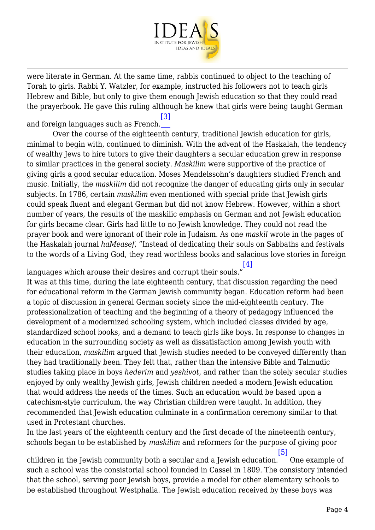

were literate in German. At the same time, rabbis continued to object to the teaching of Torah to girls. Rabbi Y. Watzler, for example, instructed his followers not to teach girls Hebrew and Bible, but only to give them enough Jewish education so that they could read the prayerbook. He gave this ruling although he knew that girls were being taught German

<span id="page-3-0"></span>and foreign languages such as French. [\[3\]](#page-14-0)

 Over the course of the eighteenth century, traditional Jewish education for girls, minimal to begin with, continued to diminish. With the advent of the Haskalah, the tendency of wealthy Jews to hire tutors to give their daughters a secular education grew in response to similar practices in the general society. *Maskilim* were supportive of the practice of giving girls a good secular education. Moses Mendelssohn's daughters studied French and music. Initially, the *maskilim* did not recognize the danger of educating girls only in secular subjects. In 1786, certain *maskilim* even mentioned with special pride that Jewish girls could speak fluent and elegant German but did not know Hebrew. However, within a short number of years, the results of the maskilic emphasis on German and not Jewish education for girls became clear. Girls had little to no Jewish knowledge. They could not read the prayer book and were ignorant of their role in Judaism. As one *maskil* wrote in the pages of the Haskalah journal *haMeasef*, "Instead of dedicating their souls on Sabbaths and festivals to the words of a Living God, they read worthless books and salacious love stories in foreign

<span id="page-3-1"></span>languages which arouse their desires and corrupt their souls." [\[4\]](#page-14-1) It was at this time, during the late eighteenth century, that discussion regarding the need for educational reform in the German Jewish community began. Education reform had been a topic of discussion in general German society since the mid-eighteenth century. The professionalization of teaching and the beginning of a theory of pedagogy influenced the development of a modernized schooling system, which included classes divided by age, standardized school books, and a demand to teach girls like boys. In response to changes in education in the surrounding society as well as dissatisfaction among Jewish youth with their education, *maskilim* argued that Jewish studies needed to be conveyed differently than they had traditionally been. They felt that, rather than the intensive Bible and Talmudic studies taking place in boys *hederim* and *yeshivot*, and rather than the solely secular studies enjoyed by only wealthy Jewish girls, Jewish children needed a modern Jewish education that would address the needs of the times. Such an education would be based upon a catechism-style curriculum, the way Christian children were taught. In addition, they recommended that Jewish education culminate in a confirmation ceremony similar to that used in Protestant churches.

In the last years of the eighteenth century and the first decade of the nineteenth century, schools began to be established by *maskilim* and reformers for the purpose of giving poor

<span id="page-3-2"></span>children in the Jewish community both a secular and a Jewish education.\_\_\_ One example of [\[5\]](#page-14-2) such a school was the consistorial school founded in Cassel in 1809. The consistory intended that the school, serving poor Jewish boys, provide a model for other elementary schools to be established throughout Westphalia. The Jewish education received by these boys was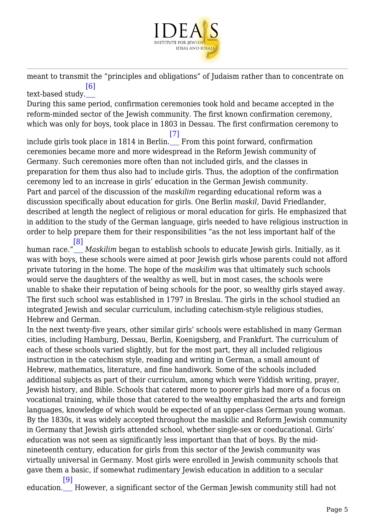

meant to transmit the "principles and obligations" of Judaism rather than to concentrate on [\[6\]](#page-14-3)

<span id="page-4-0"></span>text-based study. During this same period, confirmation ceremonies took hold and became accepted in the reform-minded sector of the Jewish community. The first known confirmation ceremony, which was only for boys, took place in 1803 in Dessau. The first confirmation ceremony to

<span id="page-4-1"></span>include girls took place in 1814 in Berlin. From this point forward, confirmation [\[7\]](#page-14-4) ceremonies became more and more widespread in the Reform Jewish community of Germany. Such ceremonies more often than not included girls, and the classes in preparation for them thus also had to include girls. Thus, the adoption of the confirmation ceremony led to an increase in girls' education in the German Jewish community. Part and parcel of the discussion of the *maskilim* regarding educational reform was a discussion specifically about education for girls. One Berlin *maskil*, David Friedlander, described at length the neglect of religious or moral education for girls. He emphasized that in addition to the study of the German language, girls needed to have religious instruction in order to help prepare them for their responsibilities "as the not less important half of the

<span id="page-4-2"></span>human race." [\[8\]](#page-14-5) *Maskilim* began to establish schools to educate Jewish girls. Initially, as it was with boys, these schools were aimed at poor Jewish girls whose parents could not afford private tutoring in the home. The hope of the *maskilim* was that ultimately such schools would serve the daughters of the wealthy as well, but in most cases, the schools were unable to shake their reputation of being schools for the poor, so wealthy girls stayed away. The first such school was established in 1797 in Breslau. The girls in the school studied an integrated Jewish and secular curriculum, including catechism-style religious studies, Hebrew and German.

In the next twenty-five years, other similar girls' schools were established in many German cities, including Hamburg, Dessau, Berlin, Koenigsberg, and Frankfurt. The curriculum of each of these schools varied slightly, but for the most part, they all included religious instruction in the catechism style, reading and writing in German, a small amount of Hebrew, mathematics, literature, and fine handiwork. Some of the schools included additional subjects as part of their curriculum, among which were Yiddish writing, prayer, Jewish history, and Bible. Schools that catered more to poorer girls had more of a focus on vocational training, while those that catered to the wealthy emphasized the arts and foreign languages, knowledge of which would be expected of an upper-class German young woman. By the 1830s, it was widely accepted throughout the maskilic and Reform Jewish community in Germany that Jewish girls attended school, whether single-sex or coeducational. Girls' education was not seen as significantly less important than that of boys. By the midnineteenth century, education for girls from this sector of the Jewish community was virtually universal in Germany. Most girls were enrolled in Jewish community schools that gave them a basic, if somewhat rudimentary Jewish education in addition to a secular

<span id="page-4-3"></span>education. However, a significant sector of the German Jewish community still had not[\[9\]](#page-14-6)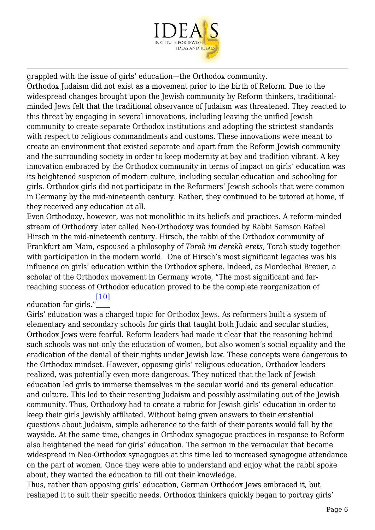

grappled with the issue of girls' education—the Orthodox community.

Orthodox Judaism did not exist as a movement prior to the birth of Reform. Due to the widespread changes brought upon the Jewish community by Reform thinkers, traditionalminded Jews felt that the traditional observance of Judaism was threatened. They reacted to this threat by engaging in several innovations, including leaving the unified Jewish community to create separate Orthodox institutions and adopting the strictest standards with respect to religious commandments and customs. These innovations were meant to create an environment that existed separate and apart from the Reform Jewish community and the surrounding society in order to keep modernity at bay and tradition vibrant. A key innovation embraced by the Orthodox community in terms of impact on girls' education was its heightened suspicion of modern culture, including secular education and schooling for girls. Orthodox girls did not participate in the Reformers' Jewish schools that were common in Germany by the mid-nineteenth century. Rather, they continued to be tutored at home, if they received any education at all.

Even Orthodoxy, however, was not monolithic in its beliefs and practices. A reform-minded stream of Orthodoxy later called Neo-Orthodoxy was founded by Rabbi Samson Rafael Hirsch in the mid-nineteenth century. Hirsch, the rabbi of the Orthodox community of Frankfurt am Main, espoused a philosophy of *Torah im derekh erets,* Torah study together with participation in the modern world. One of Hirsch's most significant legacies was his influence on girls' education within the Orthodox sphere. Indeed, as Mordechai Breuer, a scholar of the Orthodox movement in Germany wrote, "The most significant and farreaching success of Orthodox education proved to be the complete reorganization of

#### <span id="page-5-0"></span>education for girls." [\[10\]](#page-14-7)

Girls' education was a charged topic for Orthodox Jews. As reformers built a system of elementary and secondary schools for girls that taught both Judaic and secular studies, Orthodox Jews were fearful. Reform leaders had made it clear that the reasoning behind such schools was not only the education of women, but also women's social equality and the eradication of the denial of their rights under Jewish law. These concepts were dangerous to the Orthodox mindset. However, opposing girls' religious education, Orthodox leaders realized, was potentially even more dangerous. They noticed that the lack of Jewish education led girls to immerse themselves in the secular world and its general education and culture*.* This led to their resenting Judaism and possibly assimilating out of the Jewish community. Thus, Orthodoxy had to create a rubric for Jewish girls' education in order to keep their girls Jewishly affiliated. Without being given answers to their existential questions about Judaism, simple adherence to the faith of their parents would fall by the wayside. At the same time, changes in Orthodox synagogue practices in response to Reform also heightened the need for girls' education. The sermon in the vernacular that became widespread in Neo-Orthodox synagogues at this time led to increased synagogue attendance on the part of women. Once they were able to understand and enjoy what the rabbi spoke about, they wanted the education to fill out their knowledge.

Thus, rather than opposing girls' education, German Orthodox Jews embraced it, but reshaped it to suit their specific needs. Orthodox thinkers quickly began to portray girls'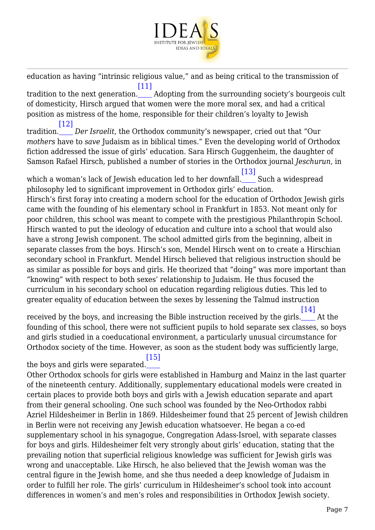

education as having "intrinsic religious value," and as being critical to the transmission of [\[11\]](#page-14-8)

<span id="page-6-0"></span>tradition to the next generation.\_\_\_\_ Adopting from the surrounding society's bourgeois cult of domesticity, Hirsch argued that women were the more moral sex, and had a critical position as mistress of the home, responsible for their children's loyalty to Jewish [\[12\]](#page-14-9)

<span id="page-6-1"></span>tradition. *Der Israelit*, the Orthodox community's newspaper, cried out that "Our *mothers* have to *save* Judaism as in biblical times." Even the developing world of Orthodox fiction addressed the issue of girls' education. Sara Hirsch Guggenheim, the daughter of Samson Rafael Hirsch, published a number of stories in the Orthodox journal *Jeschurun,* in

<span id="page-6-2"></span>which a woman's lack of Jewish education led to her downfall.\_\_\_\_ Such a widespread [\[13\]](#page-14-10) philosophy led to significant improvement in Orthodox girls' education.

Hirsch's first foray into creating a modern school for the education of Orthodox Jewish girls came with the founding of his elementary school in Frankfurt in 1853. Not meant only for poor children, this school was meant to compete with the prestigious Philanthropin School. Hirsch wanted to put the ideology of education and culture into a school that would also have a strong Jewish component. The school admitted girls from the beginning, albeit in separate classes from the boys. Hirsch's son, Mendel Hirsch went on to create a Hirschian secondary school in Frankfurt. Mendel Hirsch believed that religious instruction should be as similar as possible for boys and girls. He theorized that "doing" was more important than "knowing" with respect to both sexes' relationship to Judaism. He thus focused the curriculum in his secondary school on education regarding religious duties. This led to greater equality of education between the sexes by lessening the Talmud instruction

<span id="page-6-3"></span>received by the boys, and increasing the Bible instruction received by the girls.\_\_\_\_ At the  $[14]$ founding of this school, there were not sufficient pupils to hold separate sex classes, so boys and girls studied in a coeducational environment, a particularly unusual circumstance for Orthodox society of the time. However, as soon as the student body was sufficiently large,

<span id="page-6-4"></span>the boys and girls were separated. [\[15\]](#page-14-12)

Other Orthodox schools for girls were established in Hamburg and Mainz in the last quarter of the nineteenth century. Additionally, supplementary educational models were created in certain places to provide both boys and girls with a Jewish education separate and apart from their general schooling. One such school was founded by the Neo-Orthodox rabbi Azriel Hildesheimer in Berlin in 1869. Hildesheimer found that 25 percent of Jewish children in Berlin were not receiving any Jewish education whatsoever. He began a co-ed supplementary school in his synagogue, Congregation Adass-Isroel, with separate classes for boys and girls. Hildesheimer felt very strongly about girls' education, stating that the prevailing notion that superficial religious knowledge was sufficient for Jewish girls was wrong and unacceptable. Like Hirsch, he also believed that the Jewish woman was the central figure in the Jewish home, and she thus needed a deep knowledge of Judaism in order to fulfill her role. The girls' curriculum in Hildesheimer's school took into account differences in women's and men's roles and responsibilities in Orthodox Jewish society.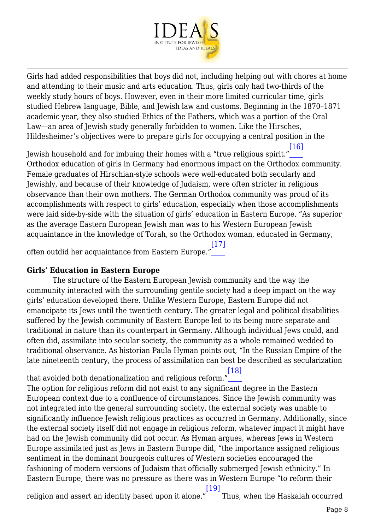

Girls had added responsibilities that boys did not, including helping out with chores at home and attending to their music and arts education. Thus, girls only had two-thirds of the weekly study hours of boys. However, even in their more limited curricular time, girls studied Hebrew language, Bible, and Jewish law and customs. Beginning in the 1870–1871 academic year, they also studied Ethics of the Fathers, which was a portion of the Oral Law—an area of Jewish study generally forbidden to women. Like the Hirsches, Hildesheimer's objectives were to prepare girls for occupying a central position in the

<span id="page-7-0"></span>Jewish household and for imbuing their homes with a "true religious spirit." [\[16\]](#page-14-13) Orthodox education of girls in Germany had enormous impact on the Orthodox community. Female graduates of Hirschian-style schools were well-educated both secularly and Jewishly, and because of their knowledge of Judaism, were often stricter in religious observance than their own mothers. The German Orthodox community was proud of its accomplishments with respect to girls' education, especially when those accomplishments were laid side-by-side with the situation of girls' education in Eastern Europe. "As superior as the average Eastern European Jewish man was to his Western European Jewish acquaintance in the knowledge of Torah, so the Orthodox woman, educated in Germany,

<span id="page-7-1"></span>often outdid her acquaintance from Eastern Europe." [\[17\]](#page-14-14)

## **Girls' Education in Eastern Europe**

 The structure of the Eastern European Jewish community and the way the community interacted with the surrounding gentile society had a deep impact on the way girls' education developed there. Unlike Western Europe, Eastern Europe did not emancipate its Jews until the twentieth century. The greater legal and political disabilities suffered by the Jewish community of Eastern Europe led to its being more separate and traditional in nature than its counterpart in Germany. Although individual Jews could, and often did, assimilate into secular society, the community as a whole remained wedded to traditional observance. As historian Paula Hyman points out, "In the Russian Empire of the late nineteenth century, the process of assimilation can best be described as secularization

<span id="page-7-2"></span>that avoided both denationalization and religious reform." [\[18\]](#page-14-15) The option for religious reform did not exist to any significant degree in the Eastern European context due to a confluence of circumstances. Since the Jewish community was not integrated into the general surrounding society, the external society was unable to significantly influence Jewish religious practices as occurred in Germany. Additionally, since the external society itself did not engage in religious reform, whatever impact it might have had on the Jewish community did not occur. As Hyman argues, whereas Jews in Western Europe assimilated just as Jews in Eastern Europe did, "the importance assigned religious sentiment in the dominant bourgeois cultures of Western societies encouraged the fashioning of modern versions of Judaism that officially submerged Jewish ethnicity." In Eastern Europe, there was no pressure as there was in Western Europe "to reform their [\[19\]](#page-14-16)

<span id="page-7-3"></span>religion and assert an identity based upon it alone." Thus, when the Haskalah occurred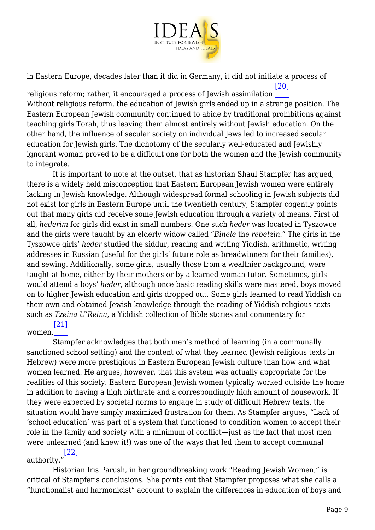

in Eastern Europe, decades later than it did in Germany, it did not initiate a process of [\[20\]](#page-14-17)

<span id="page-8-0"></span>religious reform; rather, it encouraged a process of Jewish assimilation. Without religious reform, the education of Jewish girls ended up in a strange position. The Eastern European Jewish community continued to abide by traditional prohibitions against teaching girls Torah, thus leaving them almost entirely without Jewish education. On the other hand, the influence of secular society on individual Jews led to increased secular education for Jewish girls. The dichotomy of the secularly well-educated and Jewishly ignorant woman proved to be a difficult one for both the women and the Jewish community to integrate.

 It is important to note at the outset, that as historian Shaul Stampfer has argued, there is a widely held misconception that Eastern European Jewish women were entirely lacking in Jewish knowledge. Although widespread formal schooling in Jewish subjects did not exist for girls in Eastern Europe until the twentieth century, Stampfer cogently points out that many girls did receive some Jewish education through a variety of means. First of all, *hederim* for girls did exist in small numbers. One such *heder* was located in Tyszowce and the girls were taught by an elderly widow called "*Binele* the *rebetzin*." The girls in the Tyszowce girls' *heder* studied the siddur, reading and writing Yiddish, arithmetic, writing addresses in Russian (useful for the girls' future role as breadwinners for their families), and sewing. Additionally, some girls, usually those from a wealthier background, were taught at home, either by their mothers or by a learned woman tutor. Sometimes, girls would attend a boys' *heder*, although once basic reading skills were mastered, boys moved on to higher Jewish education and girls dropped out. Some girls learned to read Yiddish on their own and obtained Jewish knowledge through the reading of Yiddish religious texts such as *Tzeina U'Reina*, a Yiddish collection of Bible stories and commentary for [\[21\]](#page-14-18)

#### <span id="page-8-1"></span>women.

 Stampfer acknowledges that both men's method of learning (in a communally sanctioned school setting) and the content of what they learned (Jewish religious texts in Hebrew) were more prestigious in Eastern European Jewish culture than how and what women learned. He argues, however, that this system was actually appropriate for the realities of this society. Eastern European Jewish women typically worked outside the home in addition to having a high birthrate and a correspondingly high amount of housework. If they were expected by societal norms to engage in study of difficult Hebrew texts, the situation would have simply maximized frustration for them. As Stampfer argues, "Lack of 'school education' was part of a system that functioned to condition women to accept their role in the family and society with a minimum of conflict—just as the fact that most men were unlearned (and knew it!) was one of the ways that led them to accept communal [\[22\]](#page-14-19)

<span id="page-8-2"></span>authority."

 Historian Iris Parush, in her groundbreaking work "Reading Jewish Women," is critical of Stampfer's conclusions. She points out that Stampfer proposes what she calls a "functionalist and harmonicist" account to explain the differences in education of boys and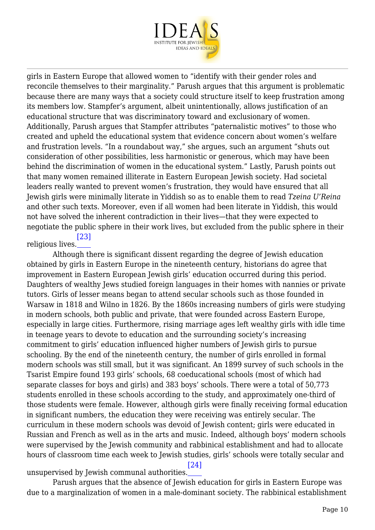

girls in Eastern Europe that allowed women to "identify with their gender roles and reconcile themselves to their marginality." Parush argues that this argument is problematic because there are many ways that a society could structure itself to keep frustration among its members low. Stampfer's argument, albeit unintentionally, allows justification of an educational structure that was discriminatory toward and exclusionary of women. Additionally, Parush argues that Stampfer attributes "paternalistic motives" to those who created and upheld the educational system that evidence concern about women's welfare and frustration levels. "In a roundabout way," she argues, such an argument "shuts out consideration of other possibilities, less harmonistic or generous, which may have been behind the discrimination of women in the educational system." Lastly, Parush points out that many women remained illiterate in Eastern European Jewish society. Had societal leaders really wanted to prevent women's frustration, they would have ensured that all Jewish girls were minimally literate in Yiddish so as to enable them to read *Tzeina U'Reina* and other such texts. Moreover, even if all women had been literate in Yiddish, this would not have solved the inherent contradiction in their lives—that they were expected to negotiate the public sphere in their work lives, but excluded from the public sphere in their [\[23\]](#page-14-20)

#### <span id="page-9-0"></span>religious lives.

 Although there is significant dissent regarding the degree of Jewish education obtained by girls in Eastern Europe in the nineteenth century, historians do agree that improvement in Eastern European Jewish girls' education occurred during this period. Daughters of wealthy Jews studied foreign languages in their homes with nannies or private tutors. Girls of lesser means began to attend secular schools such as those founded in Warsaw in 1818 and Wilno in 1826. By the 1860s increasing numbers of girls were studying in modern schools, both public and private, that were founded across Eastern Europe, especially in large cities. Furthermore, rising marriage ages left wealthy girls with idle time in teenage years to devote to education and the surrounding society's increasing commitment to girls' education influenced higher numbers of Jewish girls to pursue schooling. By the end of the nineteenth century, the number of girls enrolled in formal modern schools was still small, but it was significant. An 1899 survey of such schools in the Tsarist Empire found 193 girls' schools, 68 coeducational schools (most of which had separate classes for boys and girls) and 383 boys' schools. There were a total of 50,773 students enrolled in these schools according to the study, and approximately one-third of those students were female. However, although girls were finally receiving formal education in significant numbers, the education they were receiving was entirely secular. The curriculum in these modern schools was devoid of Jewish content; girls were educated in Russian and French as well as in the arts and music. Indeed, although boys' modern schools were supervised by the Jewish community and rabbinical establishment and had to allocate hours of classroom time each week to Jewish studies, girls' schools were totally secular and [\[24\]](#page-14-21)

## <span id="page-9-1"></span>unsupervised by Jewish communal authorities.

 Parush argues that the absence of Jewish education for girls in Eastern Europe was due to a marginalization of women in a male-dominant society. The rabbinical establishment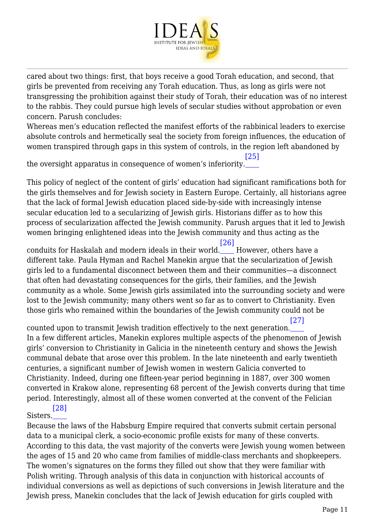

cared about two things: first, that boys receive a good Torah education, and second, that girls be prevented from receiving any Torah education. Thus, as long as girls were not transgressing the prohibition against their study of Torah, their education was of no interest to the rabbis. They could pursue high levels of secular studies without approbation or even concern. Parush concludes:

Whereas men's education reflected the manifest efforts of the rabbinical leaders to exercise absolute controls and hermetically seal the society from foreign influences, the education of women transpired through gaps in this system of controls, in the region left abandoned by

<span id="page-10-0"></span>the oversight apparatus in consequence of women's inferiority. [\[25\]](#page-14-22)

This policy of neglect of the content of girls' education had significant ramifications both for the girls themselves and for Jewish society in Eastern Europe. Certainly, all historians agree that the lack of formal Jewish education placed side-by-side with increasingly intense secular education led to a secularizing of Jewish girls. Historians differ as to how this process of secularization affected the Jewish community. Parush argues that it led to Jewish women bringing enlightened ideas into the Jewish community and thus acting as the

<span id="page-10-1"></span>conduits for Haskalah and modern ideals in their world. However, others have a [\[26\]](#page-15-0) different take. Paula Hyman and Rachel Manekin argue that the secularization of Jewish girls led to a fundamental disconnect between them and their communities—a disconnect that often had devastating consequences for the girls, their families, and the Jewish community as a whole. Some Jewish girls assimilated into the surrounding society and were lost to the Jewish community; many others went so far as to convert to Christianity. Even those girls who remained within the boundaries of the Jewish community could not be

<span id="page-10-2"></span>counted upon to transmit Jewish tradition effectively to the next generation. [\[27\]](#page-15-1) In a few different articles, Manekin explores multiple aspects of the phenomenon of Jewish girls' conversion to Christianity in Galicia in the nineteenth century and shows the Jewish communal debate that arose over this problem. In the late nineteenth and early twentieth centuries, a significant number of Jewish women in western Galicia converted to Christianity. Indeed, during one fifteen-year period beginning in 1887, over 300 women converted in Krakow alone, representing 68 percent of the Jewish converts during that time period. Interestingly, almost all of these women converted at the convent of the Felician [\[28\]](#page-15-2)

## <span id="page-10-3"></span>Sisters.

Because the laws of the Habsburg Empire required that converts submit certain personal data to a municipal clerk, a socio-economic profile exists for many of these converts. According to this data, the vast majority of the converts were Jewish young women between the ages of 15 and 20 who came from families of middle-class merchants and shopkeepers. The women's signatures on the forms they filled out show that they were familiar with Polish writing. Through analysis of this data in conjunction with historical accounts of individual conversions as well as depictions of such conversions in Jewish literature and the Jewish press, Manekin concludes that the lack of Jewish education for girls coupled with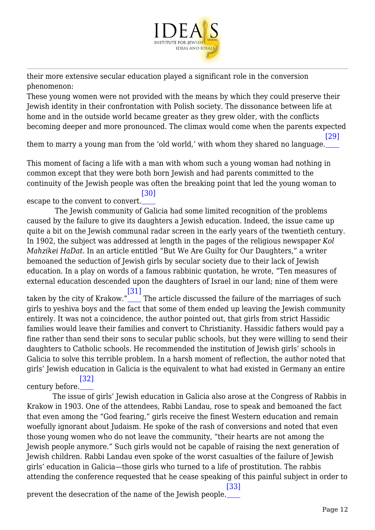

their more extensive secular education played a significant role in the conversion phenomenon:

These young women were not provided with the means by which they could preserve their Jewish identity in their confrontation with Polish society. The dissonance between life at home and in the outside world became greater as they grew older, with the conflicts becoming deeper and more pronounced. The climax would come when the parents expected

<span id="page-11-0"></span>them to marry a young man from the 'old world,' with whom they shared no language. [\[29\]](#page-15-3)

This moment of facing a life with a man with whom such a young woman had nothing in common except that they were both born Jewish and had parents committed to the continuity of the Jewish people was often the breaking point that led the young woman to

<span id="page-11-1"></span>escape to the convent to convert. [\[30\]](#page-15-4)

 The Jewish community of Galicia had some limited recognition of the problems caused by the failure to give its daughters a Jewish education. Indeed, the issue came up quite a bit on the Jewish communal radar screen in the early years of the twentieth century. In 1902, the subject was addressed at length in the pages of the religious newspaper *Kol Mahzikei HaDat*. In an article entitled "But We Are Guilty for Our Daughters," a writer bemoaned the seduction of Jewish girls by secular society due to their lack of Jewish education. In a play on words of a famous rabbinic quotation, he wrote, "Ten measures of external education descended upon the daughters of Israel in our land; nine of them were [\[31\]](#page-15-5)

<span id="page-11-2"></span>taken by the city of Krakow." The article discussed the failure of the marriages of such girls to yeshiva boys and the fact that some of them ended up leaving the Jewish community entirely. It was not a coincidence, the author pointed out, that girls from strict Hassidic families would leave their families and convert to Christianity. Hassidic fathers would pay a fine rather than send their sons to secular public schools, but they were willing to send their daughters to Catholic schools. He recommended the institution of Jewish girls' schools in Galicia to solve this terrible problem. In a harsh moment of reflection, the author noted that girls' Jewish education in Galicia is the equivalent to what had existed in Germany an entire

<span id="page-11-3"></span>century before. [\[32\]](#page-15-6)

 The issue of girls' Jewish education in Galicia also arose at the Congress of Rabbis in Krakow in 1903. One of the attendees, Rabbi Landau, rose to speak and bemoaned the fact that even among the "God fearing," girls receive the finest Western education and remain woefully ignorant about Judaism. He spoke of the rash of conversions and noted that even those young women who do not leave the community, "their hearts are not among the Jewish people anymore." Such girls would not be capable of raising the next generation of Jewish children. Rabbi Landau even spoke of the worst casualties of the failure of Jewish girls' education in Galicia—those girls who turned to a life of prostitution. The rabbis attending the conference requested that he cease speaking of this painful subject in order to

<span id="page-11-4"></span>prevent the desecration of the name of the Jewish people. [\[33\]](#page-15-7)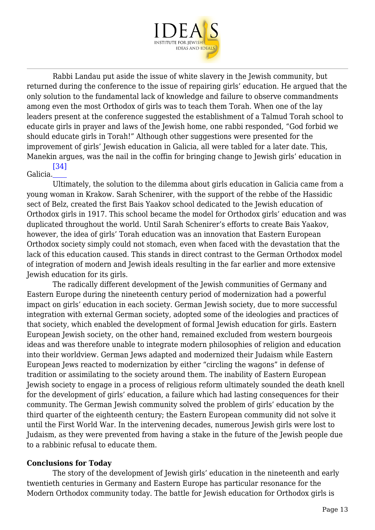

 Rabbi Landau put aside the issue of white slavery in the Jewish community, but returned during the conference to the issue of repairing girls' education. He argued that the only solution to the fundamental lack of knowledge and failure to observe commandments among even the most Orthodox of girls was to teach them Torah. When one of the lay leaders present at the conference suggested the establishment of a Talmud Torah school to educate girls in prayer and laws of the Jewish home, one rabbi responded, "God forbid we should educate girls in Torah!" Although other suggestions were presented for the improvement of girls' Jewish education in Galicia, all were tabled for a later date. This, Manekin argues, was the nail in the coffin for bringing change to Jewish girls' education in

#### <span id="page-12-0"></span>Galicia. [\[34\]](#page-15-8)

 Ultimately, the solution to the dilemma about girls education in Galicia came from a young woman in Krakow. Sarah Schenirer, with the support of the rebbe of the Hassidic sect of Belz, created the first Bais Yaakov school dedicated to the Jewish education of Orthodox girls in 1917. This school became the model for Orthodox girls' education and was duplicated throughout the world. Until Sarah Schenirer's efforts to create Bais Yaakov, however, the idea of girls' Torah education was an innovation that Eastern European Orthodox society simply could not stomach, even when faced with the devastation that the lack of this education caused. This stands in direct contrast to the German Orthodox model of integration of modern and Jewish ideals resulting in the far earlier and more extensive Jewish education for its girls.

 The radically different development of the Jewish communities of Germany and Eastern Europe during the nineteenth century period of modernization had a powerful impact on girls' education in each society. German Jewish society, due to more successful integration with external German society, adopted some of the ideologies and practices of that society, which enabled the development of formal Jewish education for girls. Eastern European Jewish society, on the other hand, remained excluded from western bourgeois ideas and was therefore unable to integrate modern philosophies of religion and education into their worldview. German Jews adapted and modernized their Judaism while Eastern European Jews reacted to modernization by either "circling the wagons" in defense of tradition or assimilating to the society around them. The inability of Eastern European Jewish society to engage in a process of religious reform ultimately sounded the death knell for the development of girls' education, a failure which had lasting consequences for their community. The German Jewish community solved the problem of girls' education by the third quarter of the eighteenth century; the Eastern European community did not solve it until the First World War. In the intervening decades, numerous Jewish girls were lost to Judaism, as they were prevented from having a stake in the future of the Jewish people due to a rabbinic refusal to educate them.

#### **Conclusions for Today**

 The story of the development of Jewish girls' education in the nineteenth and early twentieth centuries in Germany and Eastern Europe has particular resonance for the Modern Orthodox community today. The battle for Jewish education for Orthodox girls is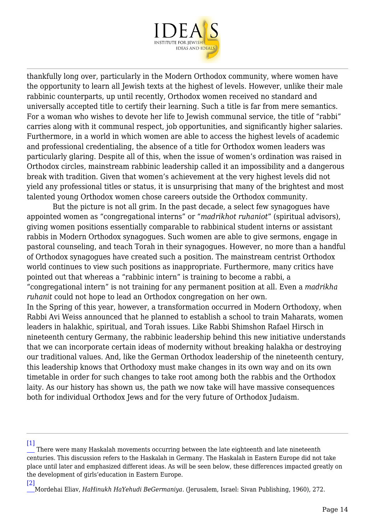

thankfully long over, particularly in the Modern Orthodox community, where women have the opportunity to learn all Jewish texts at the highest of levels. However, unlike their male rabbinic counterparts, up until recently, Orthodox women received no standard and universally accepted title to certify their learning. Such a title is far from mere semantics. For a woman who wishes to devote her life to Jewish communal service, the title of "rabbi" carries along with it communal respect, job opportunities, and significantly higher salaries. Furthermore, in a world in which women are able to access the highest levels of academic and professional credentialing, the absence of a title for Orthodox women leaders was particularly glaring. Despite all of this, when the issue of women's ordination was raised in Orthodox circles, mainstream rabbinic leadership called it an impossibility and a dangerous break with tradition. Given that women's achievement at the very highest levels did not yield any professional titles or status, it is unsurprising that many of the brightest and most talented young Orthodox women chose careers outside the Orthodox community.

 But the picture is not all grim. In the past decade, a select few synagogues have appointed women as "congregational interns" or "*madrikhot ruhaniot*" (spiritual advisors), giving women positions essentially comparable to rabbinical student interns or assistant rabbis in Modern Orthodox synagogues. Such women are able to give sermons, engage in pastoral counseling, and teach Torah in their synagogues. However, no more than a handful of Orthodox synagogues have created such a position. The mainstream centrist Orthodox world continues to view such positions as inappropriate. Furthermore, many critics have pointed out that whereas a "rabbinic intern" is training to become a rabbi, a "congregational intern" is not training for any permanent position at all. Even a *madrikha ruhanit* could not hope to lead an Orthodox congregation on her own. In the Spring of this year, however, a transformation occurred in Modern Orthodoxy, when Rabbi Avi Weiss announced that he planned to establish a school to train Maharats, women leaders in halakhic, spiritual, and Torah issues. Like Rabbi Shimshon Rafael Hirsch in nineteenth century Germany, the rabbinic leadership behind this new initiative understands that we can incorporate certain ideas of modernity without breaking halakha or destroying our traditional values. And, like the German Orthodox leadership of the nineteenth century, this leadership knows that Orthodoxy must make changes in its own way and on its own timetable in order for such changes to take root among both the rabbis and the Orthodox laity. As our history has shown us, the path we now take will have massive consequences both for individual Orthodox Jews and for the very future of Orthodox Judaism.

<span id="page-13-0"></span> $[1]$ 

<span id="page-13-1"></span>[\[2\]](#page-2-0)

There were many Haskalah movements occurring between the late eighteenth and late nineteenth centuries. This discussion refers to the Haskalah in Germany. The Haskalah in Eastern Europe did not take place until later and emphasized different ideas. As will be seen below, these differences impacted greatly on the development of girls'education in Eastern Europe.

Mordehai Eliav, *HaHinukh HaYehudi BeGermaniya*. (Jerusalem, Israel: Sivan Publishing, 1960), 272.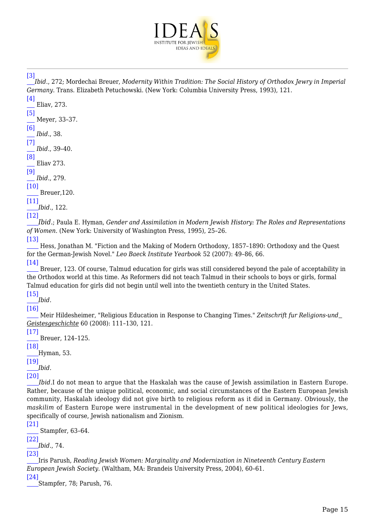

<span id="page-14-0"></span>[\[3\]](#page-3-0)

*Ibid*., 272; Mordechai Breuer, *Modernity Within Tradition: The Social History of Orthodox Jewry in Imperial Germany*. Trans. Elizabeth Petuchowski. (New York: Columbia University Press, 1993), 121.

<span id="page-14-1"></span>[\[4\]](#page-3-1) Eliav, 273.

<span id="page-14-2"></span>[\[5\]](#page-3-2) Meyer, 33–37.

<span id="page-14-3"></span>[\[6\]](#page-4-0) *Ibid*., 38.

<span id="page-14-4"></span>[\[7\]](#page-4-1) *Ibid.*, 39–40.

<span id="page-14-5"></span>[\[8\]](#page-4-2) Eliav 273.

<span id="page-14-6"></span>[\[9\]](#page-4-3)

*Ibid.*, 279.

<span id="page-14-7"></span>[\[10\]](#page-5-0) Breuer,120.

<span id="page-14-8"></span>[\[11\]](#page-6-0) *Ibid.*, 122.

<span id="page-14-9"></span>[\[12\]](#page-6-1)

*Ibid.*; Paula E. Hyman, *Gender and Assimilation in Modern Jewish History: The Roles and Representations of Women.* (New York: University of Washington Press, 1995), 25–26.

<span id="page-14-10"></span>[\[13\]](#page-6-2)

 Hess, Jonathan M. "Fiction and the Making of Modern Orthodoxy, 1857–1890: Orthodoxy and the Quest for the German-Jewish Novel." *Leo Baeck Institute Yearbook* 52 (2007): 49–86, 66.

<span id="page-14-11"></span>[\[14\]](#page-6-3) Breuer, 123. Of course, Talmud education for girls was still considered beyond the pale of acceptability in the Orthodox world at this time. As Reformers did not teach Talmud in their schools to boys or girls, formal Talmud education for girls did not begin until well into the twentieth century in the United States.

<span id="page-14-12"></span>[\[15\]](#page-6-4) *Ibid.*

<span id="page-14-13"></span>[\[16\]](#page-7-0)

 Meir Hildesheimer, "Religious Education in Response to Changing Times." *Zeitschrift fur Religions-und Geistesgeschichte* 60 (2008): 111–130, 121.

<span id="page-14-14"></span> $[17]$ Breuer, 124–125.

<span id="page-14-15"></span>[\[18\]](#page-7-2)

Hyman, 53.

<span id="page-14-16"></span>[\[19\]](#page-7-3) *Ibid.*

<span id="page-14-17"></span>[\[20\]](#page-8-0)

*Ibid.*I do not mean to argue that the Haskalah was the cause of Jewish assimilation in Eastern Europe. Rather, because of the unique political, economic, and social circumstances of the Eastern European Jewish community, Haskalah ideology did not give birth to religious reform as it did in Germany. Obviously, the *maskilim* of Eastern Europe were instrumental in the development of new political ideologies for Jews, specifically of course, Jewish nationalism and Zionism.

<span id="page-14-18"></span>[\[21\]](#page-8-1) Stampfer, 63–64.

<span id="page-14-19"></span>[\[22\]](#page-8-2)

*Ibid.*, 74.

<span id="page-14-20"></span>[\[23\]](#page-9-0)

Iris Parush, *Reading Jewish Women: Marginality and Modernization in Nineteenth Century Eastern European Jewish Society.* (Waltham, MA: Brandeis University Press, 2004), 60–61.

<span id="page-14-22"></span><span id="page-14-21"></span>[\[24\]](#page-9-1) Stampfer, 78; Parush, 76.